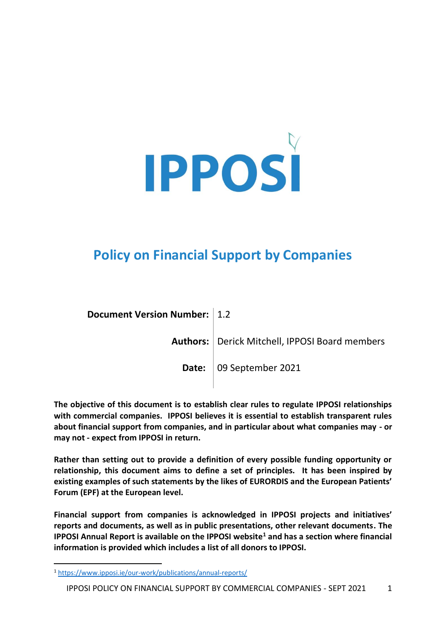

# **Policy on Financial Support by Companies**

| Document Version Number:   1.2 |                                                  |
|--------------------------------|--------------------------------------------------|
|                                | Authors:   Derick Mitchell, IPPOSI Board members |
|                                | Date: 09 September 2021                          |
|                                |                                                  |

**The objective of this document is to establish clear rules to regulate IPPOSI relationships with commercial companies. IPPOSI believes it is essential to establish transparent rules about financial support from companies, and in particular about what companies may - or may not - expect from IPPOSI in return.** 

**Rather than setting out to provide a definition of every possible funding opportunity or relationship, this document aims to define a set of principles. It has been inspired by existing examples of such statements by the likes of EURORDIS and the European Patients' Forum (EPF) at the European level.** 

**Financial support from companies is acknowledged in IPPOSI projects and initiatives' reports and documents, as well as in public presentations, other relevant documents. The IPPOSI Annual Report is available on the IPPOSI website<sup>1</sup> and has a section where financial information is provided which includes a list of all donors to IPPOSI.** 

<sup>1</sup> <https://www.ipposi.ie/our-work/publications/annual-reports/>

IPPOSI POLICY ON FINANCIAL SUPPORT BY COMMERCIAL COMPANIES - SEPT 2021 1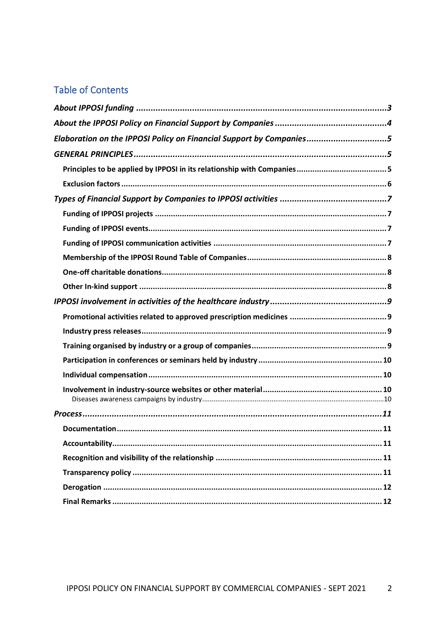# **Table of Contents**

| Elaboration on the IPPOSI Policy on Financial Support by Companies5 |  |
|---------------------------------------------------------------------|--|
|                                                                     |  |
|                                                                     |  |
|                                                                     |  |
|                                                                     |  |
|                                                                     |  |
|                                                                     |  |
|                                                                     |  |
|                                                                     |  |
|                                                                     |  |
|                                                                     |  |
|                                                                     |  |
|                                                                     |  |
|                                                                     |  |
|                                                                     |  |
|                                                                     |  |
|                                                                     |  |
|                                                                     |  |
|                                                                     |  |
|                                                                     |  |
|                                                                     |  |
|                                                                     |  |
|                                                                     |  |
|                                                                     |  |
|                                                                     |  |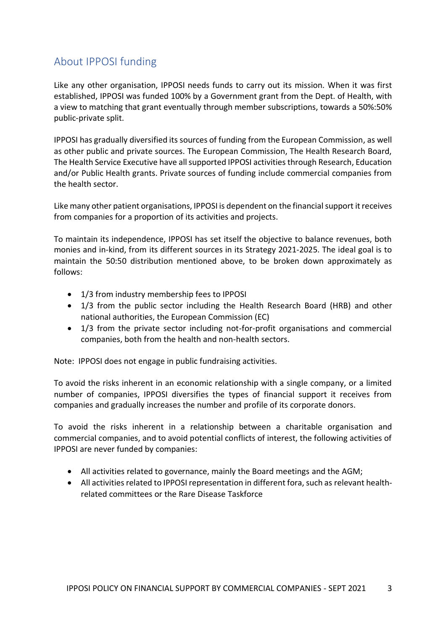## <span id="page-2-0"></span>About IPPOSI funding

Like any other organisation, IPPOSI needs funds to carry out its mission. When it was first established, IPPOSI was funded 100% by a Government grant from the Dept. of Health, with a view to matching that grant eventually through member subscriptions, towards a 50%:50% public-private split.

IPPOSI has gradually diversified its sources of funding from the European Commission, as well as other public and private sources. The European Commission, The Health Research Board, The Health Service Executive have all supported IPPOSI activities through Research, Education and/or Public Health grants. Private sources of funding include commercial companies from the health sector.

Like many other patient organisations, IPPOSI is dependent on the financial support it receives from companies for a proportion of its activities and projects.

To maintain its independence, IPPOSI has set itself the objective to balance revenues, both monies and in-kind, from its different sources in its Strategy 2021-2025. The ideal goal is to maintain the 50:50 distribution mentioned above, to be broken down approximately as follows:

- 1/3 from industry membership fees to IPPOSI
- 1/3 from the public sector including the Health Research Board (HRB) and other national authorities, the European Commission (EC)
- 1/3 from the private sector including not-for-profit organisations and commercial companies, both from the health and non-health sectors.

Note: IPPOSI does not engage in public fundraising activities.

To avoid the risks inherent in an economic relationship with a single company, or a limited number of companies, IPPOSI diversifies the types of financial support it receives from companies and gradually increases the number and profile of its corporate donors.

To avoid the risks inherent in a relationship between a charitable organisation and commercial companies, and to avoid potential conflicts of interest, the following activities of IPPOSI are never funded by companies:

- All activities related to governance, mainly the Board meetings and the AGM;
- All activities related to IPPOSI representation in different fora, such as relevant healthrelated committees or the Rare Disease Taskforce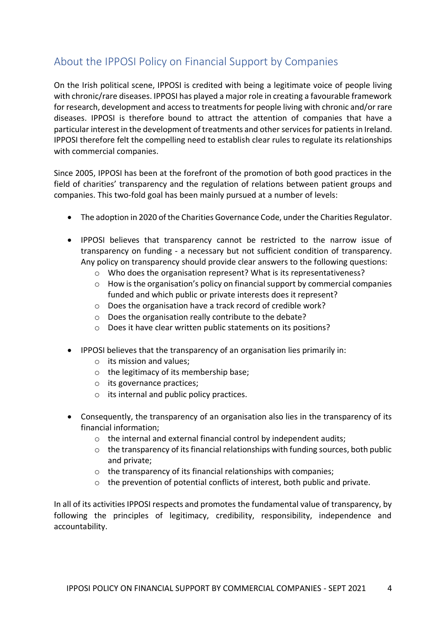# <span id="page-3-0"></span>About the IPPOSI Policy on Financial Support by Companies

On the Irish political scene, IPPOSI is credited with being a legitimate voice of people living with chronic/rare diseases. IPPOSI has played a major role in creating a favourable framework for research, development and access to treatments for people living with chronic and/or rare diseases. IPPOSI is therefore bound to attract the attention of companies that have a particular interest in the development of treatments and other services for patients in Ireland. IPPOSI therefore felt the compelling need to establish clear rules to regulate its relationships with commercial companies.

Since 2005, IPPOSI has been at the forefront of the promotion of both good practices in the field of charities' transparency and the regulation of relations between patient groups and companies. This two-fold goal has been mainly pursued at a number of levels:

- The adoption in 2020 of the Charities Governance Code, under the Charities Regulator.
- IPPOSI believes that transparency cannot be restricted to the narrow issue of transparency on funding - a necessary but not sufficient condition of transparency. Any policy on transparency should provide clear answers to the following questions:
	- $\circ$  Who does the organisation represent? What is its representativeness?
	- $\circ$  How is the organisation's policy on financial support by commercial companies funded and which public or private interests does it represent?
	- o Does the organisation have a track record of credible work?
	- o Does the organisation really contribute to the debate?
	- o Does it have clear written public statements on its positions?
- IPPOSI believes that the transparency of an organisation lies primarily in:
	- o its mission and values;
	- o the legitimacy of its membership base;
	- o its governance practices;
	- o its internal and public policy practices.
- Consequently, the transparency of an organisation also lies in the transparency of its financial information;
	- o the internal and external financial control by independent audits;
	- $\circ$  the transparency of its financial relationships with funding sources, both public and private;
	- o the transparency of its financial relationships with companies;
	- $\circ$  the prevention of potential conflicts of interest, both public and private.

In all of its activities IPPOSI respects and promotes the fundamental value of transparency, by following the principles of legitimacy, credibility, responsibility, independence and accountability.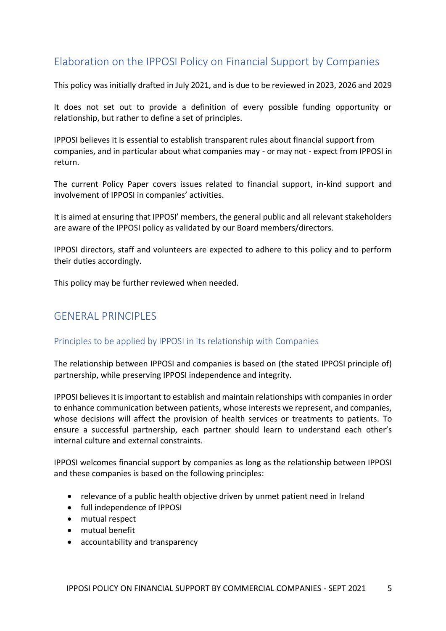## <span id="page-4-0"></span>Elaboration on the IPPOSI Policy on Financial Support by Companies

This policy was initially drafted in July 2021, and is due to be reviewed in 2023, 2026 and 2029

It does not set out to provide a definition of every possible funding opportunity or relationship, but rather to define a set of principles.

IPPOSI believes it is essential to establish transparent rules about financial support from companies, and in particular about what companies may - or may not - expect from IPPOSI in return.

The current Policy Paper covers issues related to financial support, in-kind support and involvement of IPPOSI in companies' activities.

It is aimed at ensuring that IPPOSI' members, the general public and all relevant stakeholders are aware of the IPPOSI policy as validated by our Board members/directors.

IPPOSI directors, staff and volunteers are expected to adhere to this policy and to perform their duties accordingly.

This policy may be further reviewed when needed.

### <span id="page-4-1"></span>GENERAL PRINCIPLES

#### <span id="page-4-2"></span>Principles to be applied by IPPOSI in its relationship with Companies

The relationship between IPPOSI and companies is based on (the stated IPPOSI principle of) partnership, while preserving IPPOSI independence and integrity.

IPPOSI believes it is important to establish and maintain relationships with companies in order to enhance communication between patients, whose interests we represent, and companies, whose decisions will affect the provision of health services or treatments to patients. To ensure a successful partnership, each partner should learn to understand each other's internal culture and external constraints.

IPPOSI welcomes financial support by companies as long as the relationship between IPPOSI and these companies is based on the following principles:

- relevance of a public health objective driven by unmet patient need in Ireland
- full independence of IPPOSI
- mutual respect
- mutual benefit
- accountability and transparency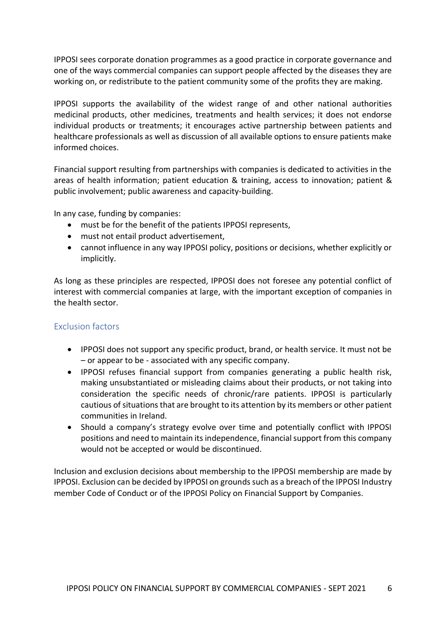IPPOSI sees corporate donation programmes as a good practice in corporate governance and one of the ways commercial companies can support people affected by the diseases they are working on, or redistribute to the patient community some of the profits they are making.

IPPOSI supports the availability of the widest range of and other national authorities medicinal products, other medicines, treatments and health services; it does not endorse individual products or treatments; it encourages active partnership between patients and healthcare professionals as well as discussion of all available options to ensure patients make informed choices.

Financial support resulting from partnerships with companies is dedicated to activities in the areas of health information; patient education & training, access to innovation; patient & public involvement; public awareness and capacity-building.

In any case, funding by companies:

- must be for the benefit of the patients IPPOSI represents,
- must not entail product advertisement,
- cannot influence in any way IPPOSI policy, positions or decisions, whether explicitly or implicitly.

As long as these principles are respected, IPPOSI does not foresee any potential conflict of interest with commercial companies at large, with the important exception of companies in the health sector.

#### <span id="page-5-0"></span>Exclusion factors

- IPPOSI does not support any specific product, brand, or health service. It must not be – or appear to be - associated with any specific company.
- IPPOSI refuses financial support from companies generating a public health risk, making unsubstantiated or misleading claims about their products, or not taking into consideration the specific needs of chronic/rare patients. IPPOSI is particularly cautious of situations that are brought to its attention by its members or other patient communities in Ireland.
- Should a company's strategy evolve over time and potentially conflict with IPPOSI positions and need to maintain its independence, financial support from this company would not be accepted or would be discontinued.

Inclusion and exclusion decisions about membership to the IPPOSI membership are made by IPPOSI. Exclusion can be decided by IPPOSI on grounds such as a breach of the IPPOSI Industry member Code of Conduct or of the IPPOSI Policy on Financial Support by Companies.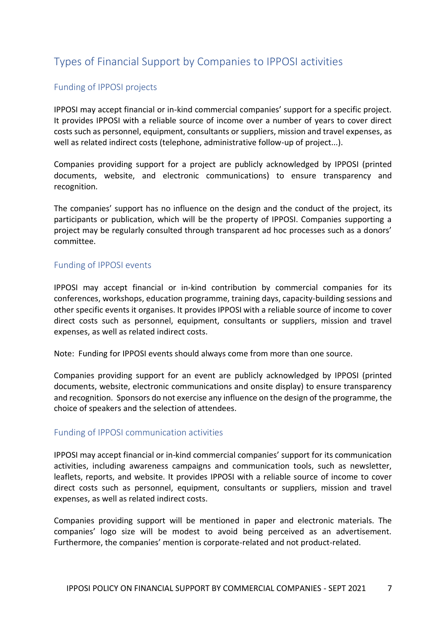# <span id="page-6-0"></span>Types of Financial Support by Companies to IPPOSI activities

### <span id="page-6-1"></span>Funding of IPPOSI projects

IPPOSI may accept financial or in-kind commercial companies' support for a specific project. It provides IPPOSI with a reliable source of income over a number of years to cover direct costs such as personnel, equipment, consultants or suppliers, mission and travel expenses, as well as related indirect costs (telephone, administrative follow-up of project...).

Companies providing support for a project are publicly acknowledged by IPPOSI (printed documents, website, and electronic communications) to ensure transparency and recognition.

The companies' support has no influence on the design and the conduct of the project, its participants or publication, which will be the property of IPPOSI. Companies supporting a project may be regularly consulted through transparent ad hoc processes such as a donors' committee.

#### <span id="page-6-2"></span>Funding of IPPOSI events

IPPOSI may accept financial or in-kind contribution by commercial companies for its conferences, workshops, education programme, training days, capacity-building sessions and other specific events it organises. It provides IPPOSI with a reliable source of income to cover direct costs such as personnel, equipment, consultants or suppliers, mission and travel expenses, as well as related indirect costs.

Note: Funding for IPPOSI events should always come from more than one source.

Companies providing support for an event are publicly acknowledged by IPPOSI (printed documents, website, electronic communications and onsite display) to ensure transparency and recognition. Sponsors do not exercise any influence on the design of the programme, the choice of speakers and the selection of attendees.

#### <span id="page-6-3"></span>Funding of IPPOSI communication activities

IPPOSI may accept financial or in-kind commercial companies' support for its communication activities, including awareness campaigns and communication tools, such as newsletter, leaflets, reports, and website. It provides IPPOSI with a reliable source of income to cover direct costs such as personnel, equipment, consultants or suppliers, mission and travel expenses, as well as related indirect costs.

Companies providing support will be mentioned in paper and electronic materials. The companies' logo size will be modest to avoid being perceived as an advertisement. Furthermore, the companies' mention is corporate-related and not product-related.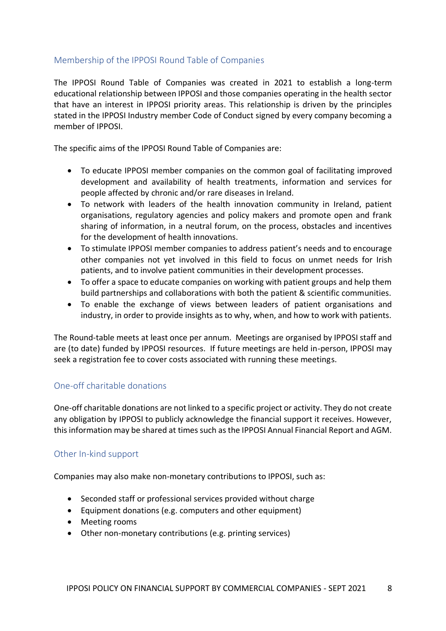### <span id="page-7-0"></span>Membership of the IPPOSI Round Table of Companies

The IPPOSI Round Table of Companies was created in 2021 to establish a long-term educational relationship between IPPOSI and those companies operating in the health sector that have an interest in IPPOSI priority areas. This relationship is driven by the principles stated in the IPPOSI Industry member Code of Conduct signed by every company becoming a member of IPPOSI.

The specific aims of the IPPOSI Round Table of Companies are:

- To educate IPPOSI member companies on the common goal of facilitating improved development and availability of health treatments, information and services for people affected by chronic and/or rare diseases in Ireland.
- To network with leaders of the health innovation community in Ireland, patient organisations, regulatory agencies and policy makers and promote open and frank sharing of information, in a neutral forum, on the process, obstacles and incentives for the development of health innovations.
- To stimulate IPPOSI member companies to address patient's needs and to encourage other companies not yet involved in this field to focus on unmet needs for Irish patients, and to involve patient communities in their development processes.
- To offer a space to educate companies on working with patient groups and help them build partnerships and collaborations with both the patient & scientific communities.
- To enable the exchange of views between leaders of patient organisations and industry, in order to provide insights as to why, when, and how to work with patients.

The Round-table meets at least once per annum. Meetings are organised by IPPOSI staff and are (to date) funded by IPPOSI resources. If future meetings are held in-person, IPPOSI may seek a registration fee to cover costs associated with running these meetings.

#### <span id="page-7-1"></span>One-off charitable donations

One-off charitable donations are not linked to a specific project or activity. They do not create any obligation by IPPOSI to publicly acknowledge the financial support it receives. However, this information may be shared at times such as the IPPOSI Annual Financial Report and AGM.

#### <span id="page-7-2"></span>Other In-kind support

Companies may also make non-monetary contributions to IPPOSI, such as:

- Seconded staff or professional services provided without charge
- Equipment donations (e.g. computers and other equipment)
- Meeting rooms
- Other non-monetary contributions (e.g. printing services)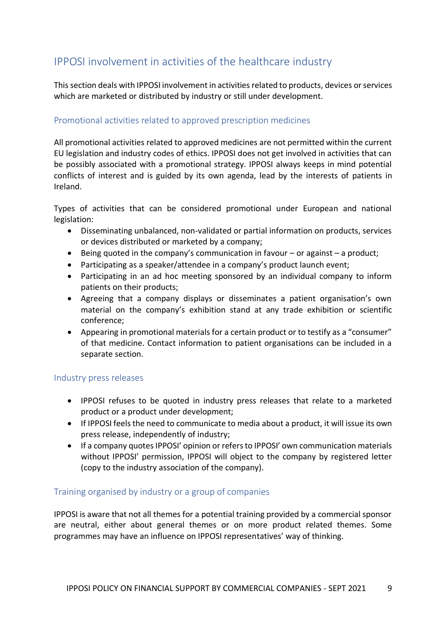# <span id="page-8-0"></span>IPPOSI involvement in activities of the healthcare industry

This section deals with IPPOSI involvement in activities related to products, devices or services which are marketed or distributed by industry or still under development.

### <span id="page-8-1"></span>Promotional activities related to approved prescription medicines

All promotional activities related to approved medicines are not permitted within the current EU legislation and industry codes of ethics. IPPOSI does not get involved in activities that can be possibly associated with a promotional strategy. IPPOSI always keeps in mind potential conflicts of interest and is guided by its own agenda, lead by the interests of patients in Ireland.

Types of activities that can be considered promotional under European and national legislation:

- Disseminating unbalanced, non-validated or partial information on products, services or devices distributed or marketed by a company;
- $\bullet$  Being quoted in the company's communication in favour or against a product;
- Participating as a speaker/attendee in a company's product launch event;
- Participating in an ad hoc meeting sponsored by an individual company to inform patients on their products;
- Agreeing that a company displays or disseminates a patient organisation's own material on the company's exhibition stand at any trade exhibition or scientific conference;
- Appearing in promotional materials for a certain product or to testify as a "consumer" of that medicine. Contact information to patient organisations can be included in a separate section.

#### <span id="page-8-2"></span>Industry press releases

- IPPOSI refuses to be quoted in industry press releases that relate to a marketed product or a product under development;
- If IPPOSI feels the need to communicate to media about a product, it will issue its own press release, independently of industry;
- If a company quotes IPPOSI' opinion or refers to IPPOSI' own communication materials without IPPOSI' permission, IPPOSI will object to the company by registered letter (copy to the industry association of the company).

#### <span id="page-8-3"></span>Training organised by industry or a group of companies

IPPOSI is aware that not all themes for a potential training provided by a commercial sponsor are neutral, either about general themes or on more product related themes. Some programmes may have an influence on IPPOSI representatives' way of thinking.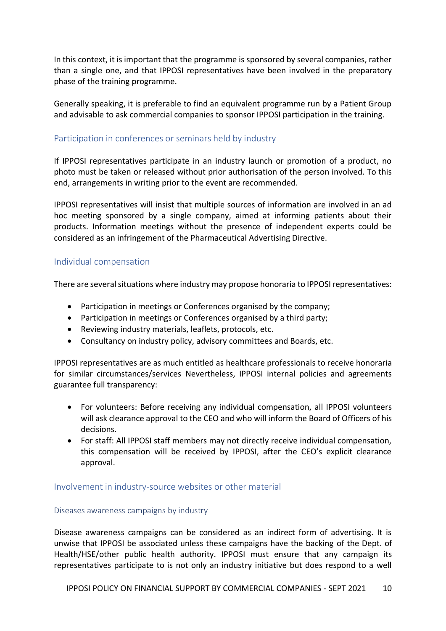In this context, it is important that the programme is sponsored by several companies, rather than a single one, and that IPPOSI representatives have been involved in the preparatory phase of the training programme.

Generally speaking, it is preferable to find an equivalent programme run by a Patient Group and advisable to ask commercial companies to sponsor IPPOSI participation in the training.

#### <span id="page-9-0"></span>Participation in conferences or seminars held by industry

If IPPOSI representatives participate in an industry launch or promotion of a product, no photo must be taken or released without prior authorisation of the person involved. To this end, arrangements in writing prior to the event are recommended.

IPPOSI representatives will insist that multiple sources of information are involved in an ad hoc meeting sponsored by a single company, aimed at informing patients about their products. Information meetings without the presence of independent experts could be considered as an infringement of the Pharmaceutical Advertising Directive.

#### <span id="page-9-1"></span>Individual compensation

There are several situations where industry may propose honoraria to IPPOSI representatives:

- Participation in meetings or Conferences organised by the company;
- Participation in meetings or Conferences organised by a third party;
- Reviewing industry materials, leaflets, protocols, etc.
- Consultancy on industry policy, advisory committees and Boards, etc.

IPPOSI representatives are as much entitled as healthcare professionals to receive honoraria for similar circumstances/services Nevertheless, IPPOSI internal policies and agreements guarantee full transparency:

- For volunteers: Before receiving any individual compensation, all IPPOSI volunteers will ask clearance approval to the CEO and who will inform the Board of Officers of his decisions.
- For staff: All IPPOSI staff members may not directly receive individual compensation, this compensation will be received by IPPOSI, after the CEO's explicit clearance approval.

#### <span id="page-9-2"></span>Involvement in industry-source websites or other material

#### <span id="page-9-3"></span>Diseases awareness campaigns by industry

Disease awareness campaigns can be considered as an indirect form of advertising. It is unwise that IPPOSI be associated unless these campaigns have the backing of the Dept. of Health/HSE/other public health authority. IPPOSI must ensure that any campaign its representatives participate to is not only an industry initiative but does respond to a well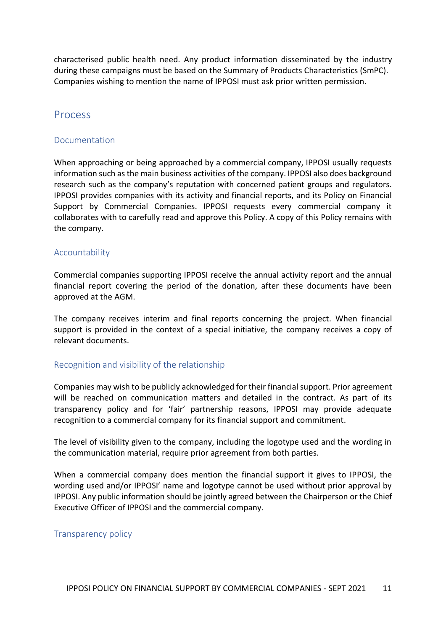characterised public health need. Any product information disseminated by the industry during these campaigns must be based on the Summary of Products Characteristics (SmPC). Companies wishing to mention the name of IPPOSI must ask prior written permission.

### <span id="page-10-0"></span>Process

#### <span id="page-10-1"></span>Documentation

When approaching or being approached by a commercial company, IPPOSI usually requests information such as the main business activities of the company. IPPOSI also does background research such as the company's reputation with concerned patient groups and regulators. IPPOSI provides companies with its activity and financial reports, and its Policy on Financial Support by Commercial Companies. IPPOSI requests every commercial company it collaborates with to carefully read and approve this Policy. A copy of this Policy remains with the company.

#### <span id="page-10-2"></span>Accountability

Commercial companies supporting IPPOSI receive the annual activity report and the annual financial report covering the period of the donation, after these documents have been approved at the AGM.

The company receives interim and final reports concerning the project. When financial support is provided in the context of a special initiative, the company receives a copy of relevant documents.

#### <span id="page-10-3"></span>Recognition and visibility of the relationship

Companies may wish to be publicly acknowledged for their financial support. Prior agreement will be reached on communication matters and detailed in the contract. As part of its transparency policy and for 'fair' partnership reasons, IPPOSI may provide adequate recognition to a commercial company for its financial support and commitment.

The level of visibility given to the company, including the logotype used and the wording in the communication material, require prior agreement from both parties.

When a commercial company does mention the financial support it gives to IPPOSI, the wording used and/or IPPOSI' name and logotype cannot be used without prior approval by IPPOSI. Any public information should be jointly agreed between the Chairperson or the Chief Executive Officer of IPPOSI and the commercial company.

#### <span id="page-10-4"></span>Transparency policy